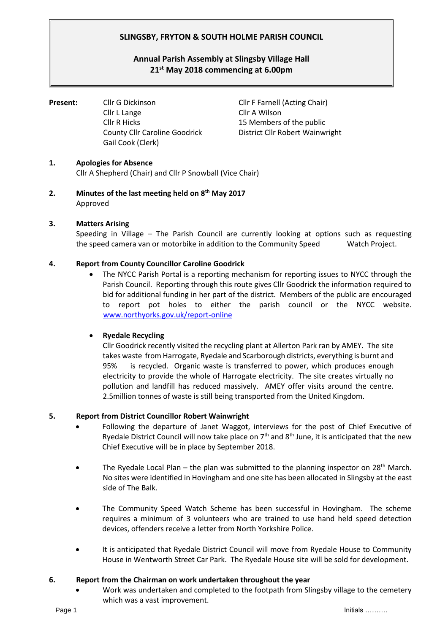# **SLINGSBY, FRYTON & SOUTH HOLME PARISH COUNCIL**

# **Annual Parish Assembly at Slingsby Village Hall 21 st May 2018 commencing at 6.00pm**

**Present:** Cllr G Dickinson Cllr F Farnell (Acting Chair) Cllr L Lange Cllr A Wilson Cllr R Hicks 15 Members of the public Gail Cook (Clerk)

County Cllr Caroline Goodrick District Cllr Robert Wainwright

# **1. Apologies for Absence**

Cllr A Shepherd (Chair) and Cllr P Snowball (Vice Chair)

**2. Minutes of the last meeting held on 8th May 2017** Approved

# **3. Matters Arising**

Speeding in Village – The Parish Council are currently looking at options such as requesting the speed camera van or motorbike in addition to the Community Speed Watch Project.

# **4. Report from County Councillor Caroline Goodrick**

• The NYCC Parish Portal is a reporting mechanism for reporting issues to NYCC through the Parish Council. Reporting through this route gives Cllr Goodrick the information required to bid for additional funding in her part of the district. Members of the public are encouraged to report pot holes to either the parish council or the NYCC website. [www.northyorks.gov.uk/report-online](http://www.northyorks.gov.uk/report-online)

#### • **Ryedale Recycling**

Cllr Goodrick recently visited the recycling plant at Allerton Park ran by AMEY. The site takes waste from Harrogate, Ryedale and Scarborough districts, everything is burnt and 95% is recycled. Organic waste is transferred to power, which produces enough electricity to provide the whole of Harrogate electricity. The site creates virtually no pollution and landfill has reduced massively. AMEY offer visits around the centre. 2.5million tonnes of waste is still being transported from the United Kingdom.

#### **5. Report from District Councillor Robert Wainwright**

- Following the departure of Janet Waggot, interviews for the post of Chief Executive of Ryedale District Council will now take place on  $7<sup>th</sup>$  and  $8<sup>th</sup>$  June, it is anticipated that the new Chief Executive will be in place by September 2018.
- The Ryedale Local Plan the plan was submitted to the planning inspector on 28<sup>th</sup> March. No sites were identified in Hovingham and one site has been allocated in Slingsby at the east side of The Balk.
- The Community Speed Watch Scheme has been successful in Hovingham. The scheme requires a minimum of 3 volunteers who are trained to use hand held speed detection devices, offenders receive a letter from North Yorkshire Police.
- It is anticipated that Ryedale District Council will move from Ryedale House to Community House in Wentworth Street Car Park. The Ryedale House site will be sold for development.

#### **6. Report from the Chairman on work undertaken throughout the year**

• Work was undertaken and completed to the footpath from Slingsby village to the cemetery which was a vast improvement.